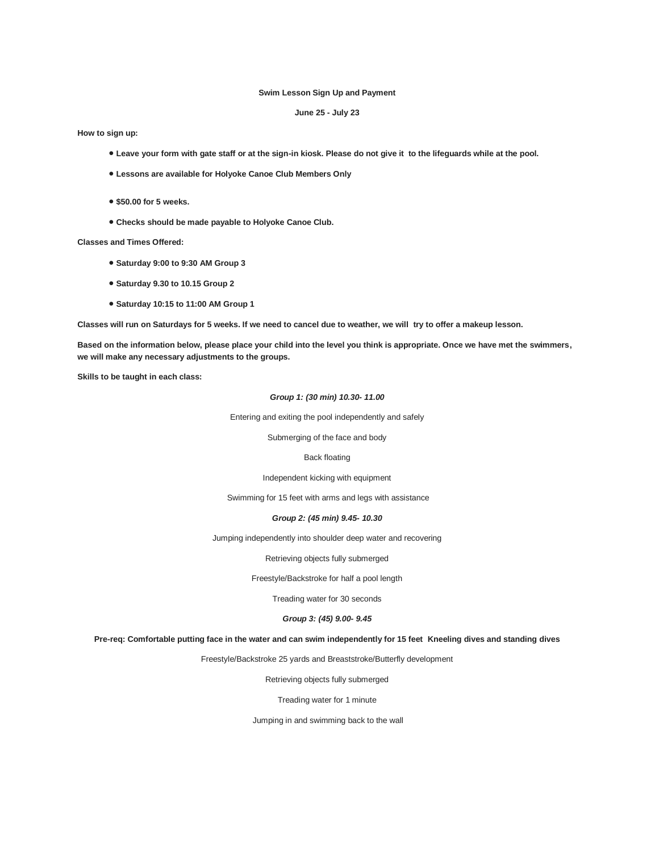### **Swim Lesson Sign Up and Payment**

# **June 25 - July 23**

**How to sign up:** 

- **Leave your form with gate staff or at the sign-in kiosk. Please do not give it to the lifeguards while at the pool.**
- **Lessons are available for Holyoke Canoe Club Members Only**
- **\$50.00 for 5 weeks.**
- **Checks should be made payable to Holyoke Canoe Club.**

**Classes and Times Offered:** 

- **Saturday 9:00 to 9:30 AM Group 3**
- **Saturday 9.30 to 10.15 Group 2**
- **Saturday 10:15 to 11:00 AM Group 1**

**Classes will run on Saturdays for 5 weeks. If we need to cancel due to weather, we will try to offer a makeup lesson.** 

**Based on the information below, please place your child into the level you think is appropriate. Once we have met the swimmers, we will make any necessary adjustments to the groups.** 

**Skills to be taught in each class:**

### *Group 1: (30 min) 10.30- 11.00*

Entering and exiting the pool independently and safely

Submerging of the face and body

#### Back floating

# Independent kicking with equipment

Swimming for 15 feet with arms and legs with assistance

### *Group 2: (45 min) 9.45- 10.30*

Jumping independently into shoulder deep water and recovering

Retrieving objects fully submerged

Freestyle/Backstroke for half a pool length

Treading water for 30 seconds

# *Group 3: (45) 9.00- 9.45*

**Pre-req: Comfortable putting face in the water and can swim independently for 15 feet Kneeling dives and standing dives** 

Freestyle/Backstroke 25 yards and Breaststroke/Butterfly development

Retrieving objects fully submerged

Treading water for 1 minute

Jumping in and swimming back to the wall